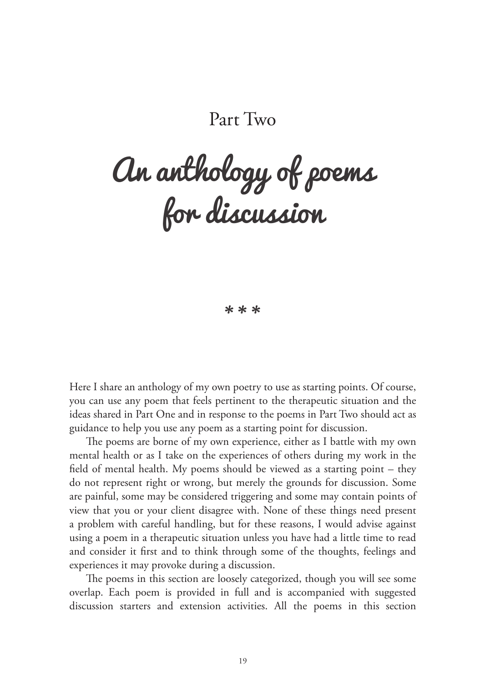## Part Two

# An anthology of poems for discussion

\* \* \*

Here I share an anthology of my own poetry to use as starting points. Of course, you can use any poem that feels pertinent to the therapeutic situation and the ideas shared in Part One and in response to the poems in Part Two should act as guidance to help you use any poem as a starting point for discussion.

The poems are borne of my own experience, either as I battle with my own mental health or as I take on the experiences of others during my work in the field of mental health. My poems should be viewed as a starting point – they do not represent right or wrong, but merely the grounds for discussion. Some are painful, some may be considered triggering and some may contain points of view that you or your client disagree with. None of these things need present a problem with careful handling, but for these reasons, I would advise against using a poem in a therapeutic situation unless you have had a little time to read and consider it first and to think through some of the thoughts, feelings and experiences it may provoke during a discussion.

The poems in this section are loosely categorized, though you will see some overlap. Each poem is provided in full and is accompanied with suggested discussion starters and extension activities. All the poems in this section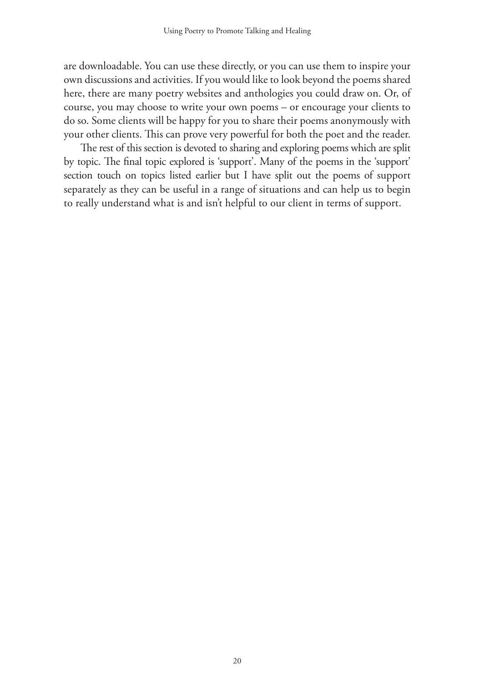are downloadable. You can use these directly, or you can use them to inspire your own discussions and activities. If you would like to look beyond the poems shared here, there are many poetry websites and anthologies you could draw on. Or, of course, you may choose to write your own poems – or encourage your clients to do so. Some clients will be happy for you to share their poems anonymously with your other clients. This can prove very powerful for both the poet and the reader.

The rest of this section is devoted to sharing and exploring poems which are split by topic. The final topic explored is 'support'. Many of the poems in the 'support' section touch on topics listed earlier but I have split out the poems of support separately as they can be useful in a range of situations and can help us to begin to really understand what is and isn't helpful to our client in terms of support.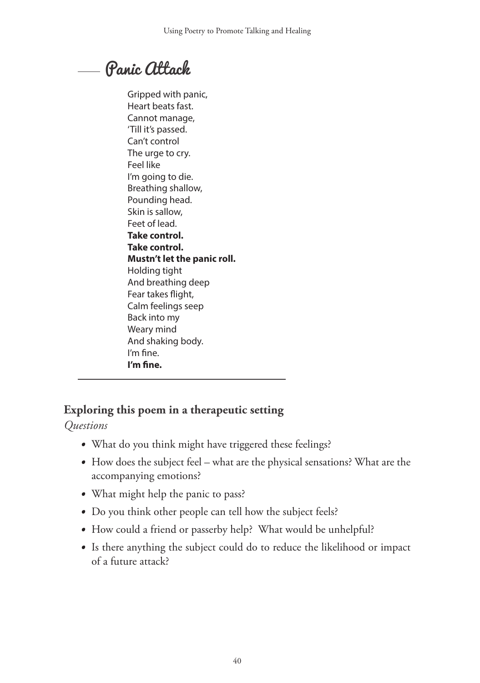# Panic Attack

Gripped with panic, Heart beats fast. Cannot manage, 'Till it's passed. Can't control The urge to cry. Feel like I'm going to die. Breathing shallow, Pounding head. Skin is sallow, Feet of lead. **Take control. Take control. Mustn't let the panic roll.** Holding tight And breathing deep Fear takes flight, Calm feelings seep Back into my Weary mind And shaking body. I'm fine. **I'm fine.**

## **Exploring this poem in a therapeutic setting**

*Questions*

- What do you think might have triggered these feelings?
- How does the subject feel what are the physical sensations? What are the accompanying emotions?
- What might help the panic to pass?
- Do you think other people can tell how the subject feels?
- How could a friend or passerby help? What would be unhelpful?
- Is there anything the subject could do to reduce the likelihood or impact of a future attack?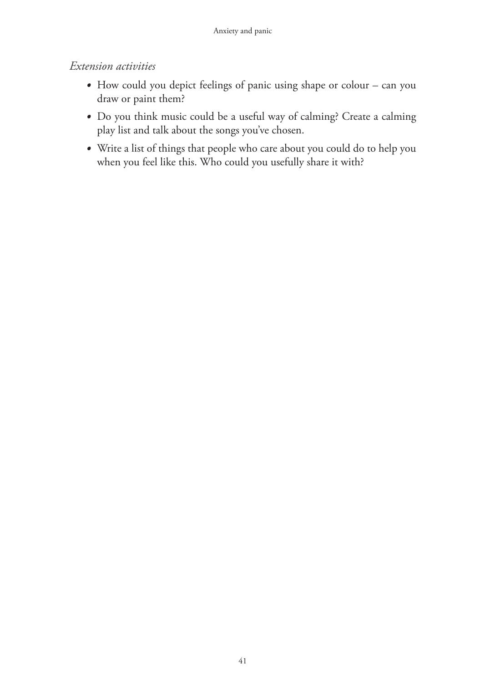- How could you depict feelings of panic using shape or colour can you draw or paint them?
- Do you think music could be a useful way of calming? Create a calming play list and talk about the songs you've chosen.
- Write a list of things that people who care about you could do to help you when you feel like this. Who could you usefully share it with?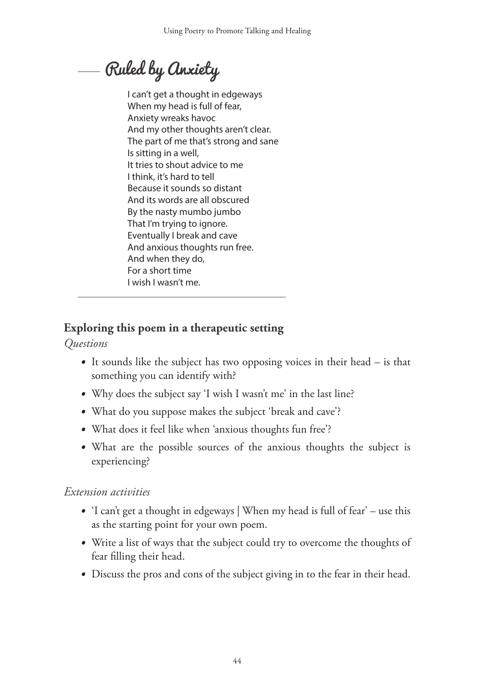Ruled by Anxiety

I can't get a thought in edgeways When my head is full of fear, Anxiety wreaks havoc And my other thoughts aren't clear. The part of me that's strong and sane Is sitting in a well, It tries to shout advice to me I think, it's hard to tell Because it sounds so distant And its words are all obscured By the nasty mumbo jumbo That I'm trying to ignore. Eventually I break and cave And anxious thoughts run free. And when they do, For a short time I wish I wasn't me.

## **Exploring this poem in a therapeutic setting**

*Questions*

- It sounds like the subject has two opposing voices in their head is that something you can identify with?
- Why does the subject say 'I wish I wasn't me' in the last line?
- What do you suppose makes the subject 'break and cave'?
- What does it feel like when 'anxious thoughts fun free'?
- What are the possible sources of the anxious thoughts the subject is experiencing?

- 'I can't get a thought in edgeways | When my head is full of fear' use this as the starting point for your own poem.
- Write a list of ways that the subject could try to overcome the thoughts of fear filling their head.
- Discuss the pros and cons of the subject giving in to the fear in their head.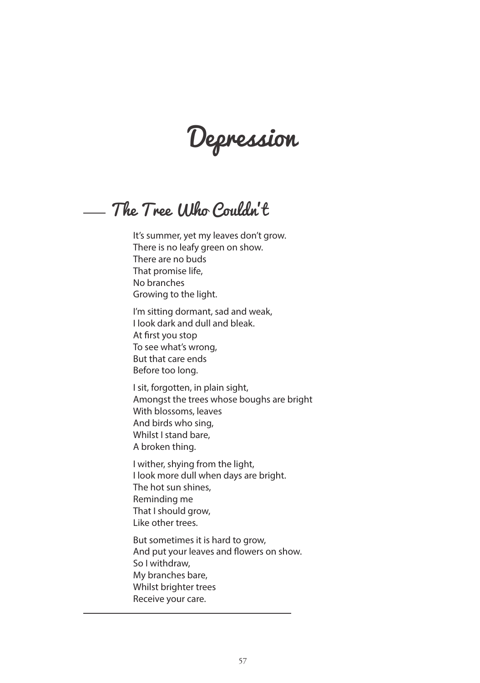Depression

The Tree Who Couldn't

It's summer, yet my leaves don't grow. There is no leafy green on show. There are no buds That promise life, No branches Growing to the light.

I'm sitting dormant, sad and weak, I look dark and dull and bleak. At first you stop To see what's wrong, But that care ends Before too long.

I sit, forgotten, in plain sight, Amongst the trees whose boughs are bright With blossoms, leaves And birds who sing, Whilst I stand bare, A broken thing.

I wither, shying from the light, I look more dull when days are bright. The hot sun shines, Reminding me That I should grow, Like other trees.

But sometimes it is hard to grow, And put your leaves and flowers on show. So I withdraw, My branches bare, Whilst brighter trees Receive your care.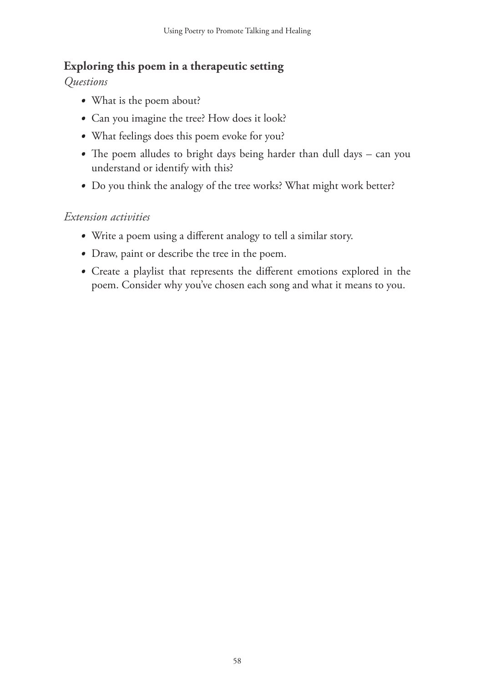#### **Exploring this poem in a therapeutic setting**

*Questions*

- What is the poem about?
- Can you imagine the tree? How does it look?
- What feelings does this poem evoke for you?
- The poem alludes to bright days being harder than dull days can you understand or identify with this?
- Do you think the analogy of the tree works? What might work better?

- Write a poem using a different analogy to tell a similar story.
- Draw, paint or describe the tree in the poem.
- Create a playlist that represents the different emotions explored in the poem. Consider why you've chosen each song and what it means to you.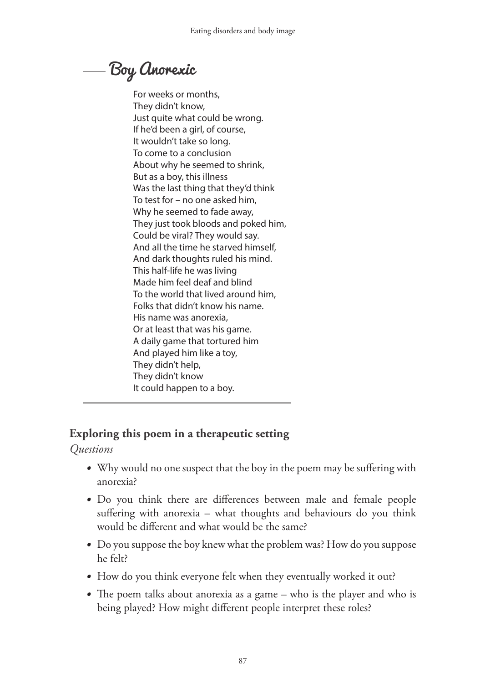# Boy Anorexic

For weeks or months, They didn't know, Just quite what could be wrong. If he'd been a girl, of course, It wouldn't take so long. To come to a conclusion About why he seemed to shrink, But as a boy, this illness Was the last thing that they'd think To test for – no one asked him, Why he seemed to fade away, They just took bloods and poked him, Could be viral? They would say. And all the time he starved himself, And dark thoughts ruled his mind. This half-life he was living Made him feel deaf and blind To the world that lived around him, Folks that didn't know his name. His name was anorexia, Or at least that was his game. A daily game that tortured him And played him like a toy, They didn't help, They didn't know It could happen to a boy.

#### **Exploring this poem in a therapeutic setting**

*Questions*

- Why would no one suspect that the boy in the poem may be suffering with anorexia?
- Do you think there are differences between male and female people suffering with anorexia – what thoughts and behaviours do you think would be different and what would be the same?
- Do you suppose the boy knew what the problem was? How do you suppose he felt?
- How do you think everyone felt when they eventually worked it out?
- The poem talks about anorexia as a game who is the player and who is being played? How might different people interpret these roles?